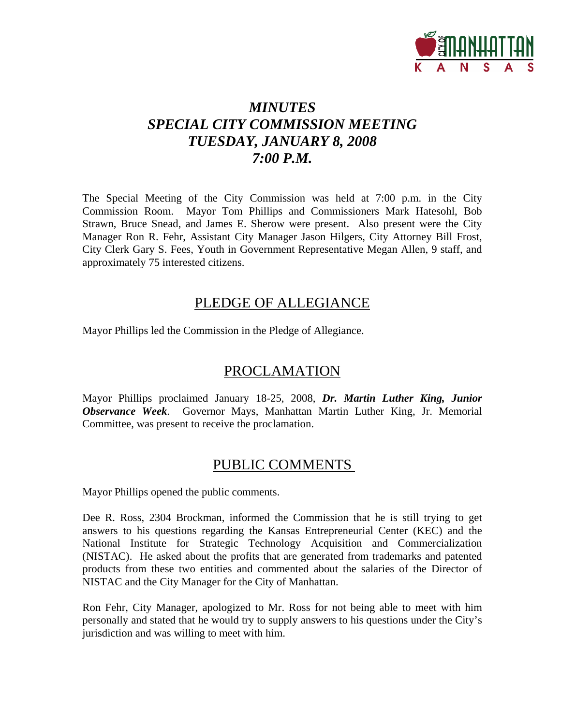

# *MINUTES SPECIAL CITY COMMISSION MEETING TUESDAY, JANUARY 8, 2008 7:00 P.M.*

The Special Meeting of the City Commission was held at 7:00 p.m. in the City Commission Room. Mayor Tom Phillips and Commissioners Mark Hatesohl, Bob Strawn, Bruce Snead, and James E. Sherow were present. Also present were the City Manager Ron R. Fehr, Assistant City Manager Jason Hilgers, City Attorney Bill Frost, City Clerk Gary S. Fees, Youth in Government Representative Megan Allen, 9 staff, and approximately 75 interested citizens.

## PLEDGE OF ALLEGIANCE

Mayor Phillips led the Commission in the Pledge of Allegiance.

## PROCLAMATION

Mayor Phillips proclaimed January 18-25, 2008, *Dr. Martin Luther King, Junior Observance Week*. Governor Mays, Manhattan Martin Luther King, Jr. Memorial Committee, was present to receive the proclamation.

# PUBLIC COMMENTS

Mayor Phillips opened the public comments.

Dee R. Ross, 2304 Brockman, informed the Commission that he is still trying to get answers to his questions regarding the Kansas Entrepreneurial Center (KEC) and the National Institute for Strategic Technology Acquisition and Commercialization (NISTAC). He asked about the profits that are generated from trademarks and patented products from these two entities and commented about the salaries of the Director of NISTAC and the City Manager for the City of Manhattan.

Ron Fehr, City Manager, apologized to Mr. Ross for not being able to meet with him personally and stated that he would try to supply answers to his questions under the City's jurisdiction and was willing to meet with him.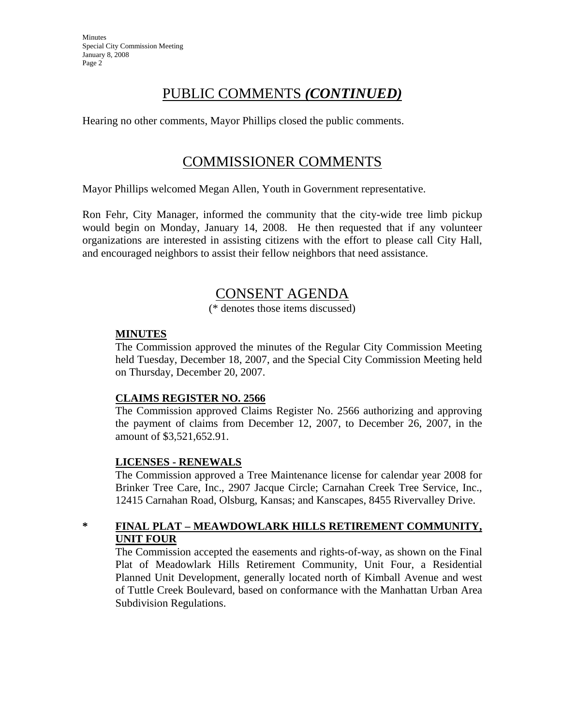## PUBLIC COMMENTS *(CONTINUED)*

Hearing no other comments, Mayor Phillips closed the public comments.

## COMMISSIONER COMMENTS

Mayor Phillips welcomed Megan Allen, Youth in Government representative.

Ron Fehr, City Manager, informed the community that the city-wide tree limb pickup would begin on Monday, January 14, 2008. He then requested that if any volunteer organizations are interested in assisting citizens with the effort to please call City Hall, and encouraged neighbors to assist their fellow neighbors that need assistance.

## CONSENT AGENDA

(\* denotes those items discussed)

### **MINUTES**

The Commission approved the minutes of the Regular City Commission Meeting held Tuesday, December 18, 2007, and the Special City Commission Meeting held on Thursday, December 20, 2007.

### **CLAIMS REGISTER NO. 2566**

The Commission approved Claims Register No. 2566 authorizing and approving the payment of claims from December 12, 2007, to December 26, 2007, in the amount of \$3,521,652.91.

### **LICENSES - RENEWALS**

The Commission approved a Tree Maintenance license for calendar year 2008 for Brinker Tree Care, Inc., 2907 Jacque Circle; Carnahan Creek Tree Service, Inc., 12415 Carnahan Road, Olsburg, Kansas; and Kanscapes, 8455 Rivervalley Drive.

### **\* FINAL PLAT – MEAWDOWLARK HILLS RETIREMENT COMMUNITY, UNIT FOUR**

The Commission accepted the easements and rights-of-way, as shown on the Final Plat of Meadowlark Hills Retirement Community, Unit Four, a Residential Planned Unit Development, generally located north of Kimball Avenue and west of Tuttle Creek Boulevard, based on conformance with the Manhattan Urban Area Subdivision Regulations.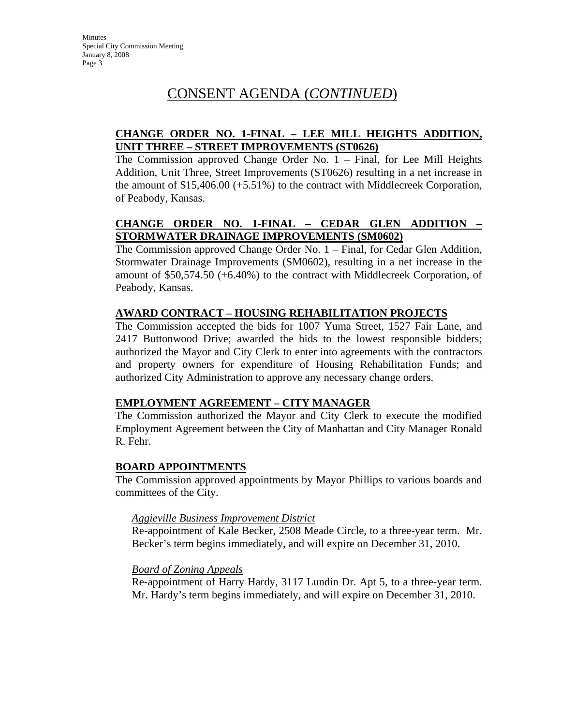# CONSENT AGENDA (*CONTINUED*)

### **CHANGE ORDER NO. 1-FINAL – LEE MILL HEIGHTS ADDITION, UNIT THREE – STREET IMPROVEMENTS (ST0626)**

The Commission approved Change Order No. 1 – Final, for Lee Mill Heights Addition, Unit Three, Street Improvements (ST0626) resulting in a net increase in the amount of \$15,406.00 (+5.51%) to the contract with Middlecreek Corporation, of Peabody, Kansas.

## **CHANGE ORDER NO. 1-FINAL – CEDAR GLEN ADDITION – STORMWATER DRAINAGE IMPROVEMENTS (SM0602)**

The Commission approved Change Order No. 1 – Final, for Cedar Glen Addition, Stormwater Drainage Improvements (SM0602), resulting in a net increase in the amount of \$50,574.50 (+6.40%) to the contract with Middlecreek Corporation, of Peabody, Kansas.

### **AWARD CONTRACT – HOUSING REHABILITATION PROJECTS**

The Commission accepted the bids for 1007 Yuma Street, 1527 Fair Lane, and 2417 Buttonwood Drive; awarded the bids to the lowest responsible bidders; authorized the Mayor and City Clerk to enter into agreements with the contractors and property owners for expenditure of Housing Rehabilitation Funds; and authorized City Administration to approve any necessary change orders.

### **EMPLOYMENT AGREEMENT – CITY MANAGER**

The Commission authorized the Mayor and City Clerk to execute the modified Employment Agreement between the City of Manhattan and City Manager Ronald R. Fehr.

### **BOARD APPOINTMENTS**

The Commission approved appointments by Mayor Phillips to various boards and committees of the City.

### *Aggieville Business Improvement District*

Re-appointment of Kale Becker, 2508 Meade Circle, to a three-year term. Mr. Becker's term begins immediately, and will expire on December 31, 2010.

### *Board of Zoning Appeals*

Re-appointment of Harry Hardy, 3117 Lundin Dr. Apt 5, to a three-year term. Mr. Hardy's term begins immediately, and will expire on December 31, 2010.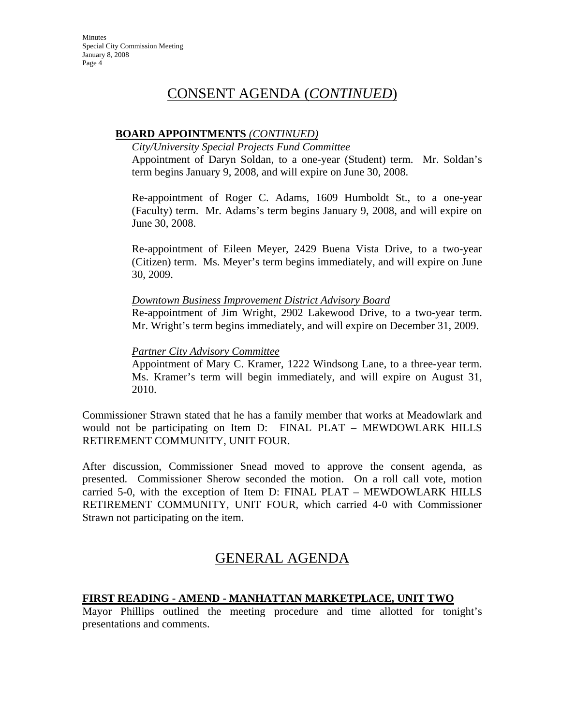## CONSENT AGENDA (*CONTINUED*)

### **BOARD APPOINTMENTS** *(CONTINUED)*

### *City/University Special Projects Fund Committee*

Appointment of Daryn Soldan, to a one-year (Student) term. Mr. Soldan's term begins January 9, 2008, and will expire on June 30, 2008.

Re-appointment of Roger C. Adams, 1609 Humboldt St., to a one-year (Faculty) term. Mr. Adams's term begins January 9, 2008, and will expire on June 30, 2008.

Re-appointment of Eileen Meyer, 2429 Buena Vista Drive, to a two-year (Citizen) term. Ms. Meyer's term begins immediately, and will expire on June 30, 2009.

### *Downtown Business Improvement District Advisory Board*

Re-appointment of Jim Wright, 2902 Lakewood Drive, to a two-year term. Mr. Wright's term begins immediately, and will expire on December 31, 2009.

### *Partner City Advisory Committee*

Appointment of Mary C. Kramer, 1222 Windsong Lane, to a three-year term. Ms. Kramer's term will begin immediately, and will expire on August 31, 2010.

Commissioner Strawn stated that he has a family member that works at Meadowlark and would not be participating on Item D: FINAL PLAT – MEWDOWLARK HILLS RETIREMENT COMMUNITY, UNIT FOUR.

After discussion, Commissioner Snead moved to approve the consent agenda, as presented. Commissioner Sherow seconded the motion. On a roll call vote, motion carried 5-0, with the exception of Item D: FINAL PLAT – MEWDOWLARK HILLS RETIREMENT COMMUNITY, UNIT FOUR, which carried 4-0 with Commissioner Strawn not participating on the item.

## GENERAL AGENDA

### **FIRST READING - AMEND - MANHATTAN MARKETPLACE, UNIT TWO**

Mayor Phillips outlined the meeting procedure and time allotted for tonight's presentations and comments.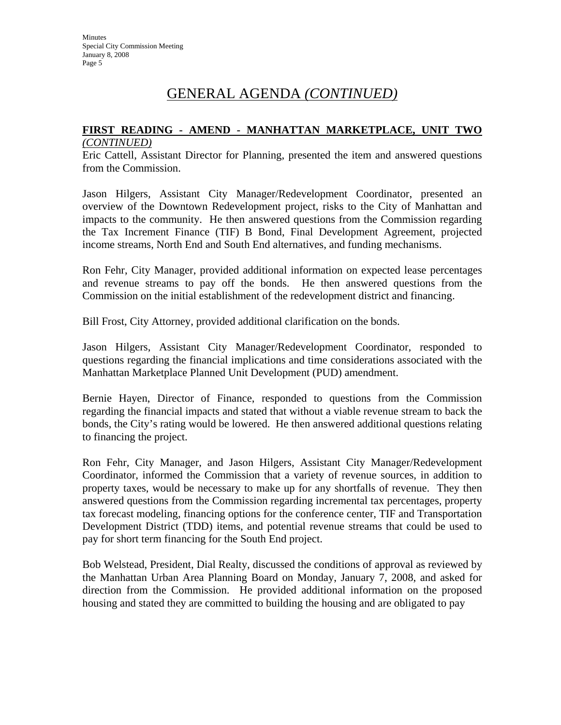### **FIRST READING - AMEND - MANHATTAN MARKETPLACE, UNIT TWO** *(CONTINUED)*

Eric Cattell, Assistant Director for Planning, presented the item and answered questions from the Commission.

Jason Hilgers, Assistant City Manager/Redevelopment Coordinator, presented an overview of the Downtown Redevelopment project, risks to the City of Manhattan and impacts to the community. He then answered questions from the Commission regarding the Tax Increment Finance (TIF) B Bond, Final Development Agreement, projected income streams, North End and South End alternatives, and funding mechanisms.

Ron Fehr, City Manager, provided additional information on expected lease percentages and revenue streams to pay off the bonds. He then answered questions from the Commission on the initial establishment of the redevelopment district and financing.

Bill Frost, City Attorney, provided additional clarification on the bonds.

Jason Hilgers, Assistant City Manager/Redevelopment Coordinator, responded to questions regarding the financial implications and time considerations associated with the Manhattan Marketplace Planned Unit Development (PUD) amendment.

Bernie Hayen, Director of Finance, responded to questions from the Commission regarding the financial impacts and stated that without a viable revenue stream to back the bonds, the City's rating would be lowered. He then answered additional questions relating to financing the project.

Ron Fehr, City Manager, and Jason Hilgers, Assistant City Manager/Redevelopment Coordinator, informed the Commission that a variety of revenue sources, in addition to property taxes, would be necessary to make up for any shortfalls of revenue. They then answered questions from the Commission regarding incremental tax percentages, property tax forecast modeling, financing options for the conference center, TIF and Transportation Development District (TDD) items, and potential revenue streams that could be used to pay for short term financing for the South End project.

Bob Welstead, President, Dial Realty, discussed the conditions of approval as reviewed by the Manhattan Urban Area Planning Board on Monday, January 7, 2008, and asked for direction from the Commission. He provided additional information on the proposed housing and stated they are committed to building the housing and are obligated to pay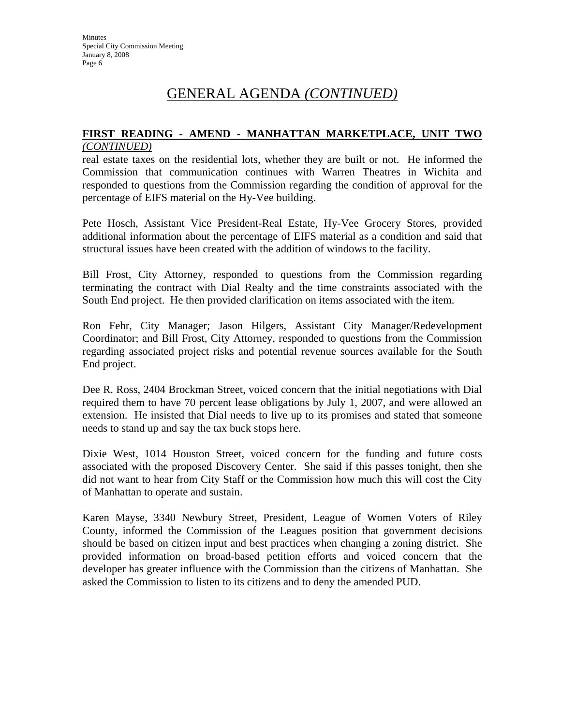### **FIRST READING - AMEND - MANHATTAN MARKETPLACE, UNIT TWO** *(CONTINUED)*

real estate taxes on the residential lots, whether they are built or not. He informed the Commission that communication continues with Warren Theatres in Wichita and responded to questions from the Commission regarding the condition of approval for the percentage of EIFS material on the Hy-Vee building.

Pete Hosch, Assistant Vice President-Real Estate, Hy-Vee Grocery Stores, provided additional information about the percentage of EIFS material as a condition and said that structural issues have been created with the addition of windows to the facility.

Bill Frost, City Attorney, responded to questions from the Commission regarding terminating the contract with Dial Realty and the time constraints associated with the South End project. He then provided clarification on items associated with the item.

Ron Fehr, City Manager; Jason Hilgers, Assistant City Manager/Redevelopment Coordinator; and Bill Frost, City Attorney, responded to questions from the Commission regarding associated project risks and potential revenue sources available for the South End project.

Dee R. Ross, 2404 Brockman Street, voiced concern that the initial negotiations with Dial required them to have 70 percent lease obligations by July 1, 2007, and were allowed an extension. He insisted that Dial needs to live up to its promises and stated that someone needs to stand up and say the tax buck stops here.

Dixie West, 1014 Houston Street, voiced concern for the funding and future costs associated with the proposed Discovery Center. She said if this passes tonight, then she did not want to hear from City Staff or the Commission how much this will cost the City of Manhattan to operate and sustain.

Karen Mayse, 3340 Newbury Street, President, League of Women Voters of Riley County, informed the Commission of the Leagues position that government decisions should be based on citizen input and best practices when changing a zoning district. She provided information on broad-based petition efforts and voiced concern that the developer has greater influence with the Commission than the citizens of Manhattan. She asked the Commission to listen to its citizens and to deny the amended PUD.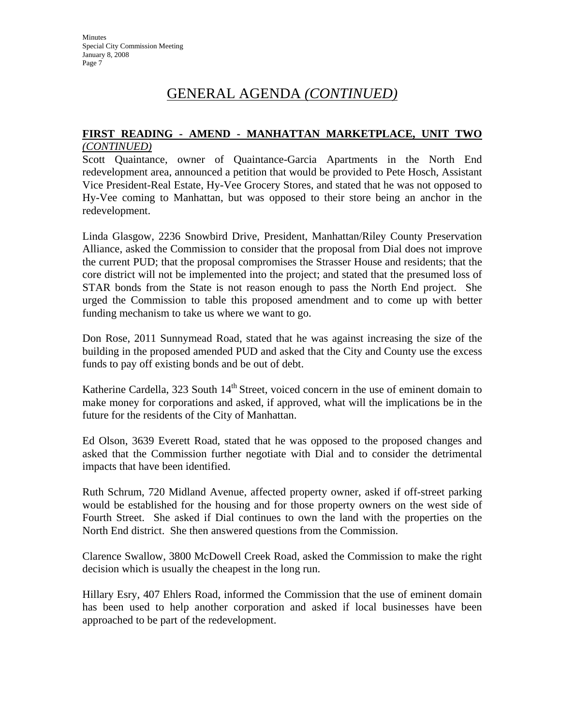## GENERAL AGENDA *(CONTINUED)*

### **FIRST READING - AMEND - MANHATTAN MARKETPLACE, UNIT TWO** *(CONTINUED)*

Scott Quaintance, owner of Quaintance-Garcia Apartments in the North End redevelopment area, announced a petition that would be provided to Pete Hosch, Assistant Vice President-Real Estate, Hy-Vee Grocery Stores, and stated that he was not opposed to Hy-Vee coming to Manhattan, but was opposed to their store being an anchor in the redevelopment.

Linda Glasgow, 2236 Snowbird Drive, President, Manhattan/Riley County Preservation Alliance, asked the Commission to consider that the proposal from Dial does not improve the current PUD; that the proposal compromises the Strasser House and residents; that the core district will not be implemented into the project; and stated that the presumed loss of STAR bonds from the State is not reason enough to pass the North End project. She urged the Commission to table this proposed amendment and to come up with better funding mechanism to take us where we want to go.

Don Rose, 2011 Sunnymead Road, stated that he was against increasing the size of the building in the proposed amended PUD and asked that the City and County use the excess funds to pay off existing bonds and be out of debt.

Katherine Cardella, 323 South  $14<sup>th</sup>$  Street, voiced concern in the use of eminent domain to make money for corporations and asked, if approved, what will the implications be in the future for the residents of the City of Manhattan.

Ed Olson, 3639 Everett Road, stated that he was opposed to the proposed changes and asked that the Commission further negotiate with Dial and to consider the detrimental impacts that have been identified.

Ruth Schrum, 720 Midland Avenue, affected property owner, asked if off-street parking would be established for the housing and for those property owners on the west side of Fourth Street. She asked if Dial continues to own the land with the properties on the North End district. She then answered questions from the Commission.

Clarence Swallow, 3800 McDowell Creek Road, asked the Commission to make the right decision which is usually the cheapest in the long run.

Hillary Esry, 407 Ehlers Road, informed the Commission that the use of eminent domain has been used to help another corporation and asked if local businesses have been approached to be part of the redevelopment.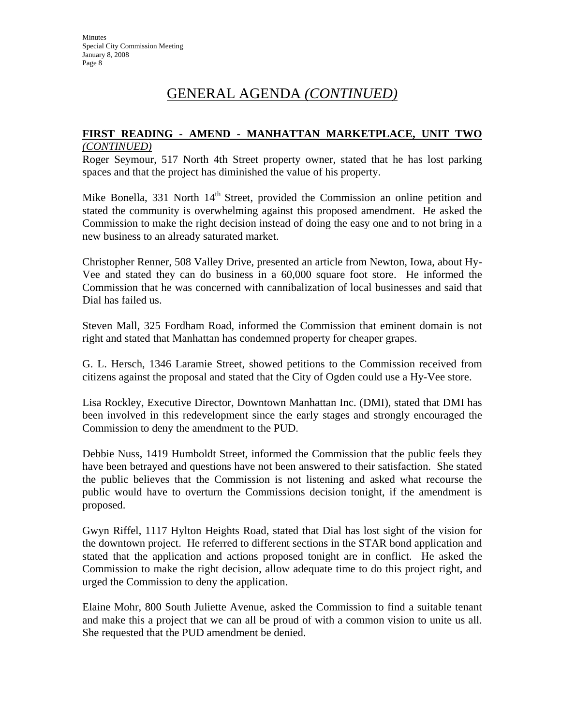### **FIRST READING - AMEND - MANHATTAN MARKETPLACE, UNIT TWO** *(CONTINUED)*

Roger Seymour, 517 North 4th Street property owner, stated that he has lost parking spaces and that the project has diminished the value of his property.

Mike Bonella, 331 North 14<sup>th</sup> Street, provided the Commission an online petition and stated the community is overwhelming against this proposed amendment. He asked the Commission to make the right decision instead of doing the easy one and to not bring in a new business to an already saturated market.

Christopher Renner, 508 Valley Drive, presented an article from Newton, Iowa, about Hy-Vee and stated they can do business in a 60,000 square foot store. He informed the Commission that he was concerned with cannibalization of local businesses and said that Dial has failed us.

Steven Mall, 325 Fordham Road, informed the Commission that eminent domain is not right and stated that Manhattan has condemned property for cheaper grapes.

G. L. Hersch, 1346 Laramie Street, showed petitions to the Commission received from citizens against the proposal and stated that the City of Ogden could use a Hy-Vee store.

Lisa Rockley, Executive Director, Downtown Manhattan Inc. (DMI), stated that DMI has been involved in this redevelopment since the early stages and strongly encouraged the Commission to deny the amendment to the PUD.

Debbie Nuss, 1419 Humboldt Street, informed the Commission that the public feels they have been betrayed and questions have not been answered to their satisfaction. She stated the public believes that the Commission is not listening and asked what recourse the public would have to overturn the Commissions decision tonight, if the amendment is proposed.

Gwyn Riffel, 1117 Hylton Heights Road, stated that Dial has lost sight of the vision for the downtown project. He referred to different sections in the STAR bond application and stated that the application and actions proposed tonight are in conflict. He asked the Commission to make the right decision, allow adequate time to do this project right, and urged the Commission to deny the application.

Elaine Mohr, 800 South Juliette Avenue, asked the Commission to find a suitable tenant and make this a project that we can all be proud of with a common vision to unite us all. She requested that the PUD amendment be denied.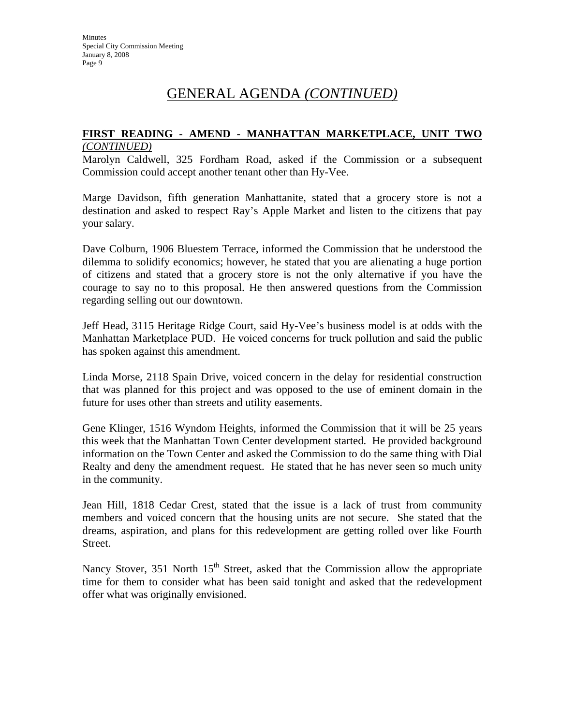### **FIRST READING - AMEND - MANHATTAN MARKETPLACE, UNIT TWO** *(CONTINUED)*

Marolyn Caldwell, 325 Fordham Road, asked if the Commission or a subsequent Commission could accept another tenant other than Hy-Vee.

Marge Davidson, fifth generation Manhattanite, stated that a grocery store is not a destination and asked to respect Ray's Apple Market and listen to the citizens that pay your salary.

Dave Colburn, 1906 Bluestem Terrace, informed the Commission that he understood the dilemma to solidify economics; however, he stated that you are alienating a huge portion of citizens and stated that a grocery store is not the only alternative if you have the courage to say no to this proposal. He then answered questions from the Commission regarding selling out our downtown.

Jeff Head, 3115 Heritage Ridge Court, said Hy-Vee's business model is at odds with the Manhattan Marketplace PUD. He voiced concerns for truck pollution and said the public has spoken against this amendment.

Linda Morse, 2118 Spain Drive, voiced concern in the delay for residential construction that was planned for this project and was opposed to the use of eminent domain in the future for uses other than streets and utility easements.

Gene Klinger, 1516 Wyndom Heights, informed the Commission that it will be 25 years this week that the Manhattan Town Center development started. He provided background information on the Town Center and asked the Commission to do the same thing with Dial Realty and deny the amendment request. He stated that he has never seen so much unity in the community.

Jean Hill, 1818 Cedar Crest, stated that the issue is a lack of trust from community members and voiced concern that the housing units are not secure. She stated that the dreams, aspiration, and plans for this redevelopment are getting rolled over like Fourth Street.

Nancy Stover, 351 North  $15<sup>th</sup>$  Street, asked that the Commission allow the appropriate time for them to consider what has been said tonight and asked that the redevelopment offer what was originally envisioned.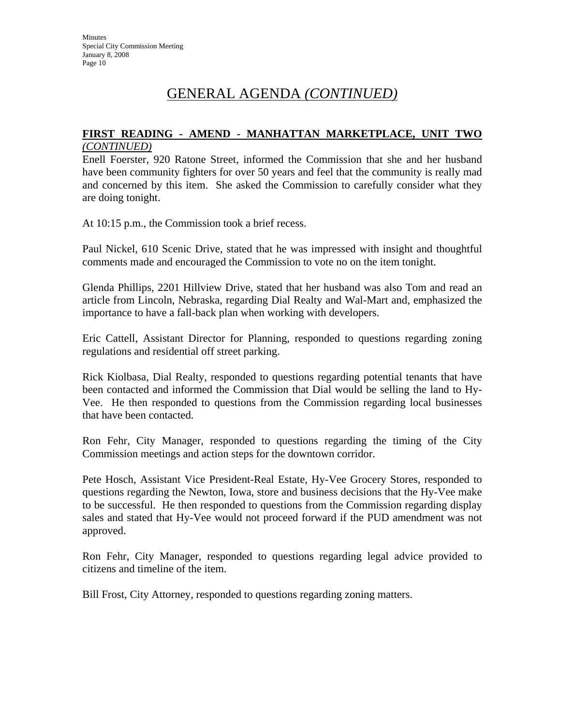### **FIRST READING - AMEND - MANHATTAN MARKETPLACE, UNIT TWO** *(CONTINUED)*

Enell Foerster, 920 Ratone Street, informed the Commission that she and her husband have been community fighters for over 50 years and feel that the community is really mad and concerned by this item. She asked the Commission to carefully consider what they are doing tonight.

At 10:15 p.m., the Commission took a brief recess.

Paul Nickel, 610 Scenic Drive, stated that he was impressed with insight and thoughtful comments made and encouraged the Commission to vote no on the item tonight.

Glenda Phillips, 2201 Hillview Drive, stated that her husband was also Tom and read an article from Lincoln, Nebraska, regarding Dial Realty and Wal-Mart and, emphasized the importance to have a fall-back plan when working with developers.

Eric Cattell, Assistant Director for Planning, responded to questions regarding zoning regulations and residential off street parking.

Rick Kiolbasa, Dial Realty, responded to questions regarding potential tenants that have been contacted and informed the Commission that Dial would be selling the land to Hy-Vee. He then responded to questions from the Commission regarding local businesses that have been contacted.

Ron Fehr, City Manager, responded to questions regarding the timing of the City Commission meetings and action steps for the downtown corridor.

Pete Hosch, Assistant Vice President-Real Estate, Hy-Vee Grocery Stores, responded to questions regarding the Newton, Iowa, store and business decisions that the Hy-Vee make to be successful. He then responded to questions from the Commission regarding display sales and stated that Hy-Vee would not proceed forward if the PUD amendment was not approved.

Ron Fehr, City Manager, responded to questions regarding legal advice provided to citizens and timeline of the item.

Bill Frost, City Attorney, responded to questions regarding zoning matters.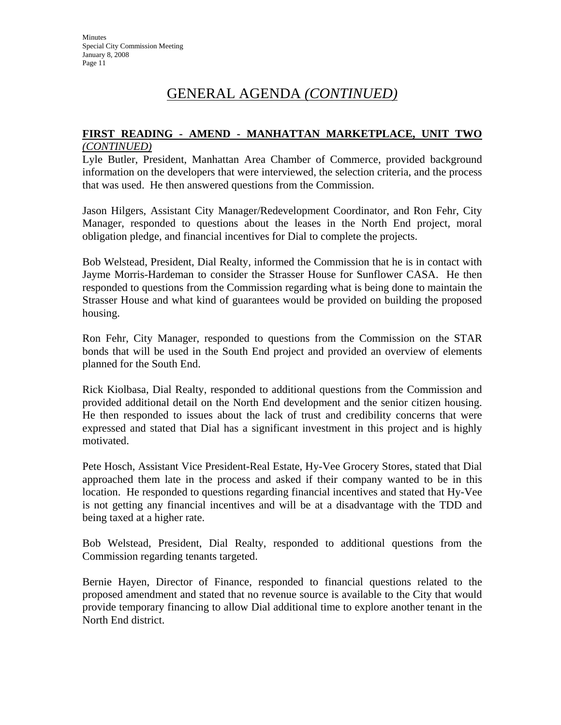### **FIRST READING - AMEND - MANHATTAN MARKETPLACE, UNIT TWO** *(CONTINUED)*

Lyle Butler, President, Manhattan Area Chamber of Commerce, provided background information on the developers that were interviewed, the selection criteria, and the process that was used. He then answered questions from the Commission.

Jason Hilgers, Assistant City Manager/Redevelopment Coordinator, and Ron Fehr, City Manager, responded to questions about the leases in the North End project, moral obligation pledge, and financial incentives for Dial to complete the projects.

Bob Welstead, President, Dial Realty, informed the Commission that he is in contact with Jayme Morris-Hardeman to consider the Strasser House for Sunflower CASA. He then responded to questions from the Commission regarding what is being done to maintain the Strasser House and what kind of guarantees would be provided on building the proposed housing.

Ron Fehr, City Manager, responded to questions from the Commission on the STAR bonds that will be used in the South End project and provided an overview of elements planned for the South End.

Rick Kiolbasa, Dial Realty, responded to additional questions from the Commission and provided additional detail on the North End development and the senior citizen housing. He then responded to issues about the lack of trust and credibility concerns that were expressed and stated that Dial has a significant investment in this project and is highly motivated.

Pete Hosch, Assistant Vice President-Real Estate, Hy-Vee Grocery Stores, stated that Dial approached them late in the process and asked if their company wanted to be in this location. He responded to questions regarding financial incentives and stated that Hy-Vee is not getting any financial incentives and will be at a disadvantage with the TDD and being taxed at a higher rate.

Bob Welstead, President, Dial Realty, responded to additional questions from the Commission regarding tenants targeted.

Bernie Hayen, Director of Finance, responded to financial questions related to the proposed amendment and stated that no revenue source is available to the City that would provide temporary financing to allow Dial additional time to explore another tenant in the North End district.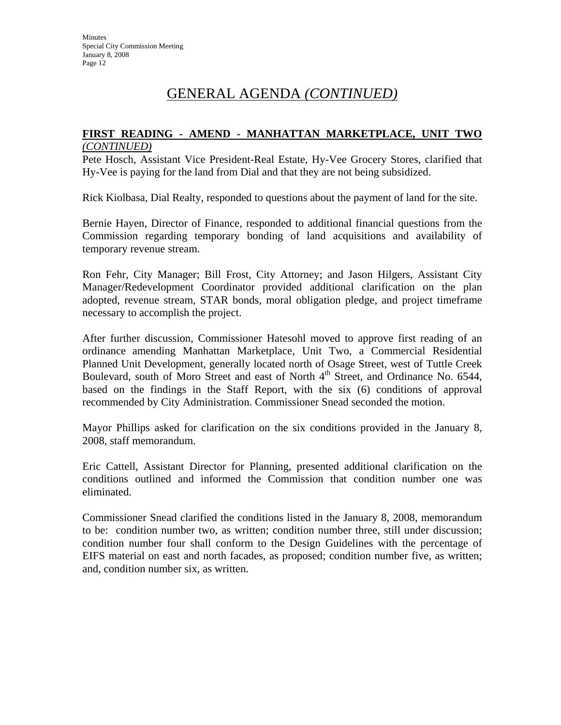### **FIRST READING - AMEND - MANHATTAN MARKETPLACE, UNIT TWO** *(CONTINUED)*

Pete Hosch, Assistant Vice President-Real Estate, Hy-Vee Grocery Stores, clarified that Hy-Vee is paying for the land from Dial and that they are not being subsidized.

Rick Kiolbasa, Dial Realty, responded to questions about the payment of land for the site.

Bernie Hayen, Director of Finance, responded to additional financial questions from the Commission regarding temporary bonding of land acquisitions and availability of temporary revenue stream.

Ron Fehr, City Manager; Bill Frost, City Attorney; and Jason Hilgers, Assistant City Manager/Redevelopment Coordinator provided additional clarification on the plan adopted, revenue stream, STAR bonds, moral obligation pledge, and project timeframe necessary to accomplish the project.

After further discussion, Commissioner Hatesohl moved to approve first reading of an ordinance amending Manhattan Marketplace, Unit Two, a Commercial Residential Planned Unit Development, generally located north of Osage Street, west of Tuttle Creek Boulevard, south of Moro Street and east of North 4<sup>th</sup> Street, and Ordinance No. 6544, based on the findings in the Staff Report, with the six (6) conditions of approval recommended by City Administration. Commissioner Snead seconded the motion.

Mayor Phillips asked for clarification on the six conditions provided in the January 8, 2008, staff memorandum.

Eric Cattell, Assistant Director for Planning, presented additional clarification on the conditions outlined and informed the Commission that condition number one was eliminated.

Commissioner Snead clarified the conditions listed in the January 8, 2008, memorandum to be: condition number two, as written; condition number three, still under discussion; condition number four shall conform to the Design Guidelines with the percentage of EIFS material on east and north facades, as proposed; condition number five, as written; and, condition number six, as written.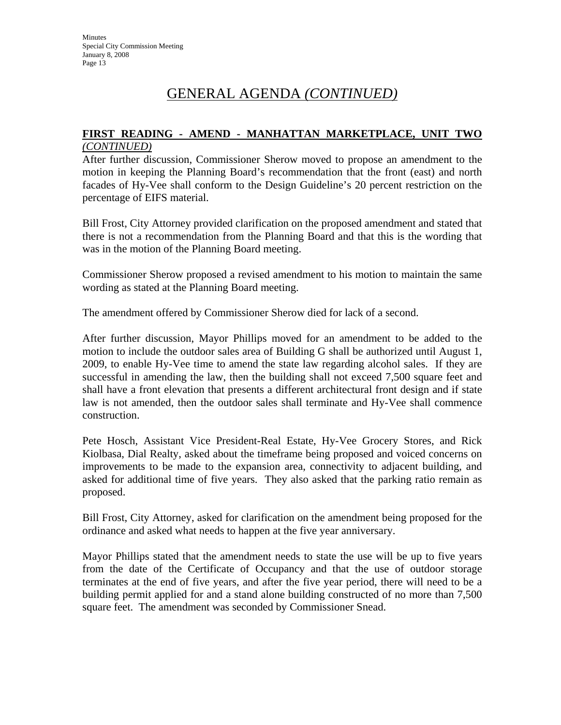### **FIRST READING - AMEND - MANHATTAN MARKETPLACE, UNIT TWO** *(CONTINUED)*

After further discussion, Commissioner Sherow moved to propose an amendment to the motion in keeping the Planning Board's recommendation that the front (east) and north facades of Hy-Vee shall conform to the Design Guideline's 20 percent restriction on the percentage of EIFS material.

Bill Frost, City Attorney provided clarification on the proposed amendment and stated that there is not a recommendation from the Planning Board and that this is the wording that was in the motion of the Planning Board meeting.

Commissioner Sherow proposed a revised amendment to his motion to maintain the same wording as stated at the Planning Board meeting.

The amendment offered by Commissioner Sherow died for lack of a second.

After further discussion, Mayor Phillips moved for an amendment to be added to the motion to include the outdoor sales area of Building G shall be authorized until August 1, 2009, to enable Hy-Vee time to amend the state law regarding alcohol sales. If they are successful in amending the law, then the building shall not exceed 7,500 square feet and shall have a front elevation that presents a different architectural front design and if state law is not amended, then the outdoor sales shall terminate and Hy-Vee shall commence construction.

Pete Hosch, Assistant Vice President-Real Estate, Hy-Vee Grocery Stores, and Rick Kiolbasa, Dial Realty, asked about the timeframe being proposed and voiced concerns on improvements to be made to the expansion area, connectivity to adjacent building, and asked for additional time of five years. They also asked that the parking ratio remain as proposed.

Bill Frost, City Attorney, asked for clarification on the amendment being proposed for the ordinance and asked what needs to happen at the five year anniversary.

Mayor Phillips stated that the amendment needs to state the use will be up to five years from the date of the Certificate of Occupancy and that the use of outdoor storage terminates at the end of five years, and after the five year period, there will need to be a building permit applied for and a stand alone building constructed of no more than 7,500 square feet. The amendment was seconded by Commissioner Snead.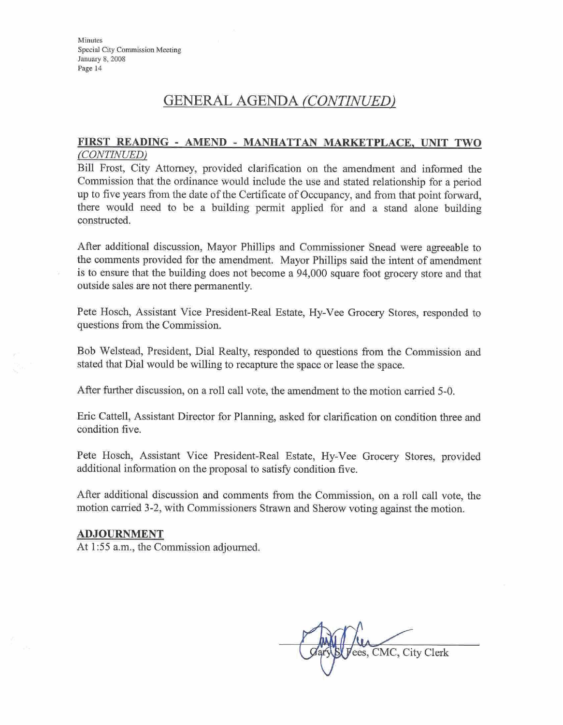## **GENERAL AGENDA** *(CONTINUED)*

### **FT READING** - **AMEND** - **MANHATTAN MARKETPLACE.** DNIT **TWO**   $(CONTINUED)$

Bill Frost, City Attorney, provided clarification on the amendment and informed the Commission that the ordinance would include the use and stated relationship for a period up to five years from the date of the Certificate of Occupancy, and from that point forward, there would need to be a building permit applied for and a stand alone building constructed.

**After** additional discussion, Mayor Phillips and Commissioner Snead were agreeable to the comments provided for the amendment. Mayor Phillips said the intent of amendment is to ensure that the building does not become a 94,000 square foot grocery store and that outside sales are not there permanently.

Pete Hosch, Assistant Vice President-Red Estate, Hy-Vee Grocery Stores, responded to questions from the Commission

Bob Welstead, President, Dial Realty, responded to questions from the Commission and stated that Dial would be willing to recapture the space or lease the space.

After further discussion, on a roll call vote, the amendment to the motion carried 5-0.

Eric Cattell, Assistant Director for Planning, asked for clarification on condition three and condition five.

Pete Hosch, Assistant Vice President-Red Estate, Hy-Vee **Grocery** Stores, provided additional information on the proposal to satisfy condition five.

After additional discussion and comments from the Commission, on a roll call vote, the motion carried 3-2, with Commissioners Strawn and Sherow voting against the motion.

#### **ADJOURNMENT**

At 1:55 a.m., the Commission adjourned.

ees, CMC, City Clerk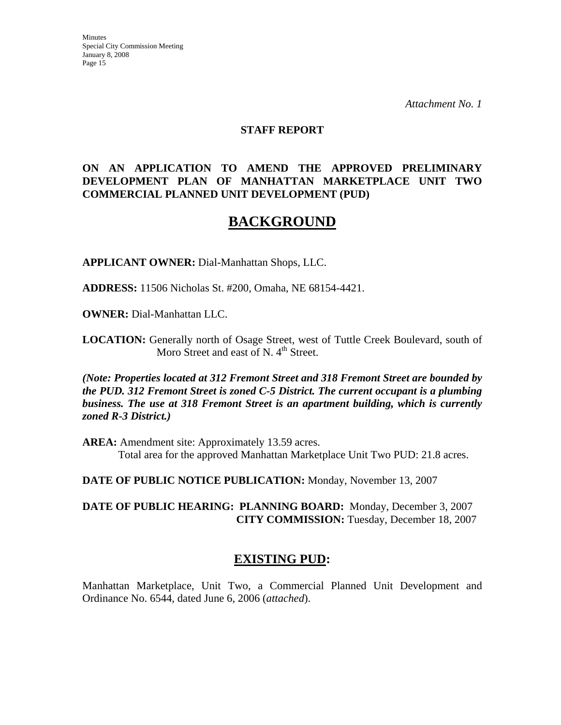*Attachment No. 1*

### **STAFF REPORT**

### **ON AN APPLICATION TO AMEND THE APPROVED PRELIMINARY DEVELOPMENT PLAN OF MANHATTAN MARKETPLACE UNIT TWO COMMERCIAL PLANNED UNIT DEVELOPMENT (PUD)**

## **BACKGROUND**

**APPLICANT OWNER:** Dial-Manhattan Shops, LLC.

**ADDRESS:** 11506 Nicholas St. #200, Omaha, NE 68154-4421.

**OWNER:** Dial-Manhattan LLC.

**LOCATION:** Generally north of Osage Street, west of Tuttle Creek Boulevard, south of Moro Street and east of N.  $4<sup>th</sup>$  Street.

*(Note: Properties located at 312 Fremont Street and 318 Fremont Street are bounded by the PUD. 312 Fremont Street is zoned C-5 District. The current occupant is a plumbing business. The use at 318 Fremont Street is an apartment building, which is currently zoned R-3 District.)*

**AREA:** Amendment site: Approximately 13.59 acres. Total area for the approved Manhattan Marketplace Unit Two PUD: 21.8 acres.

**DATE OF PUBLIC NOTICE PUBLICATION:** Monday, November 13, 2007

**DATE OF PUBLIC HEARING: PLANNING BOARD:** Monday, December 3, 2007 **CITY COMMISSION:** Tuesday, December 18, 2007

## **EXISTING PUD:**

Manhattan Marketplace, Unit Two, a Commercial Planned Unit Development and Ordinance No. 6544, dated June 6, 2006 (*attached*).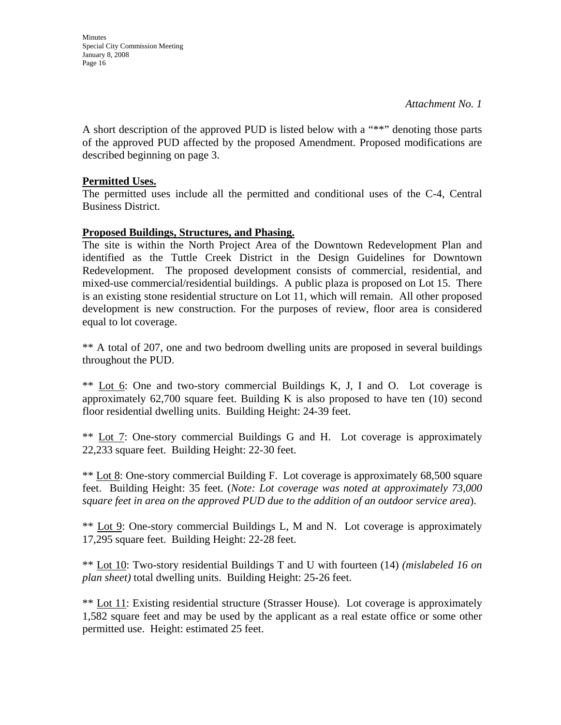**Minutes** Special City Commission Meeting January 8, 2008 Page 16

A short description of the approved PUD is listed below with a "\*\*" denoting those parts of the approved PUD affected by the proposed Amendment. Proposed modifications are described beginning on page 3.

### **Permitted Uses.**

The permitted uses include all the permitted and conditional uses of the C-4, Central Business District.

### **Proposed Buildings, Structures, and Phasing.**

The site is within the North Project Area of the Downtown Redevelopment Plan and identified as the Tuttle Creek District in the Design Guidelines for Downtown Redevelopment. The proposed development consists of commercial, residential, and mixed-use commercial/residential buildings. A public plaza is proposed on Lot 15. There is an existing stone residential structure on Lot 11, which will remain. All other proposed development is new construction. For the purposes of review, floor area is considered equal to lot coverage.

\*\* A total of 207, one and two bedroom dwelling units are proposed in several buildings throughout the PUD.

\*\* Lot 6: One and two-story commercial Buildings K, J, I and O. Lot coverage is approximately  $62,700$  square feet. Building K is also proposed to have ten  $(10)$  second floor residential dwelling units. Building Height: 24-39 feet.

\*\* Lot 7: One-story commercial Buildings G and H. Lot coverage is approximately 22,233 square feet. Building Height: 22-30 feet.

\*\* Lot 8: One-story commercial Building F. Lot coverage is approximately 68,500 square feet. Building Height: 35 feet. (*Note: Lot coverage was noted at approximately 73,000 square feet in area on the approved PUD due to the addition of an outdoor service area*).

\*\* Lot 9: One-story commercial Buildings L, M and N. Lot coverage is approximately 17,295 square feet. Building Height: 22-28 feet.

\*\* Lot 10: Two-story residential Buildings T and U with fourteen (14) *(mislabeled 16 on plan sheet)* total dwelling units. Building Height: 25-26 feet.

\*\* Lot 11: Existing residential structure (Strasser House). Lot coverage is approximately 1,582 square feet and may be used by the applicant as a real estate office or some other permitted use. Height: estimated 25 feet.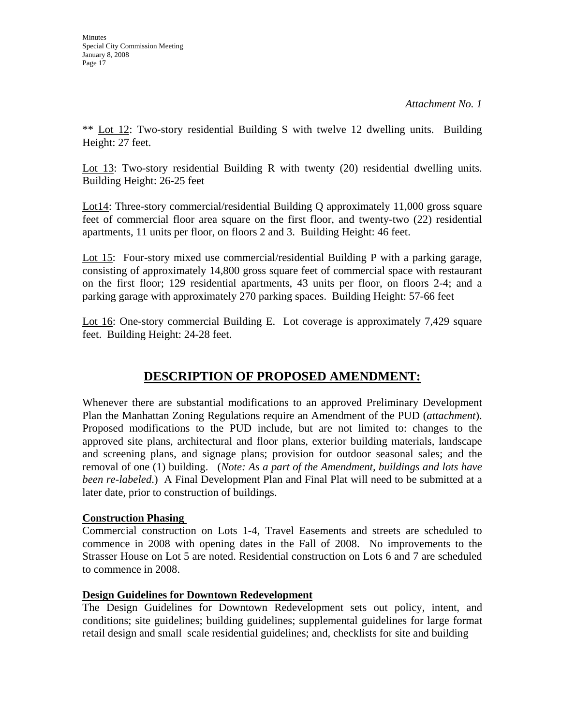\*\* Lot 12: Two-story residential Building S with twelve 12 dwelling units. Building Height: 27 feet.

Lot 13: Two-story residential Building R with twenty (20) residential dwelling units. Building Height: 26-25 feet

Lot14: Three-story commercial/residential Building Q approximately 11,000 gross square feet of commercial floor area square on the first floor, and twenty-two (22) residential apartments, 11 units per floor, on floors 2 and 3. Building Height: 46 feet.

Lot 15: Four-story mixed use commercial/residential Building P with a parking garage, consisting of approximately 14,800 gross square feet of commercial space with restaurant on the first floor; 129 residential apartments, 43 units per floor, on floors 2-4; and a parking garage with approximately 270 parking spaces. Building Height: 57-66 feet

Lot 16: One-story commercial Building E. Lot coverage is approximately 7,429 square feet. Building Height: 24-28 feet.

## **DESCRIPTION OF PROPOSED AMENDMENT:**

Whenever there are substantial modifications to an approved Preliminary Development Plan the Manhattan Zoning Regulations require an Amendment of the PUD (*attachment*). Proposed modifications to the PUD include, but are not limited to: changes to the approved site plans, architectural and floor plans, exterior building materials, landscape and screening plans, and signage plans; provision for outdoor seasonal sales; and the removal of one (1) building. (*Note: As a part of the Amendment, buildings and lots have been re-labeled*.) A Final Development Plan and Final Plat will need to be submitted at a later date, prior to construction of buildings.

## **Construction Phasing**

Commercial construction on Lots 1-4, Travel Easements and streets are scheduled to commence in 2008 with opening dates in the Fall of 2008. No improvements to the Strasser House on Lot 5 are noted. Residential construction on Lots 6 and 7 are scheduled to commence in 2008.

### **Design Guidelines for Downtown Redevelopment**

The Design Guidelines for Downtown Redevelopment sets out policy, intent, and conditions; site guidelines; building guidelines; supplemental guidelines for large format retail design and small scale residential guidelines; and, checklists for site and building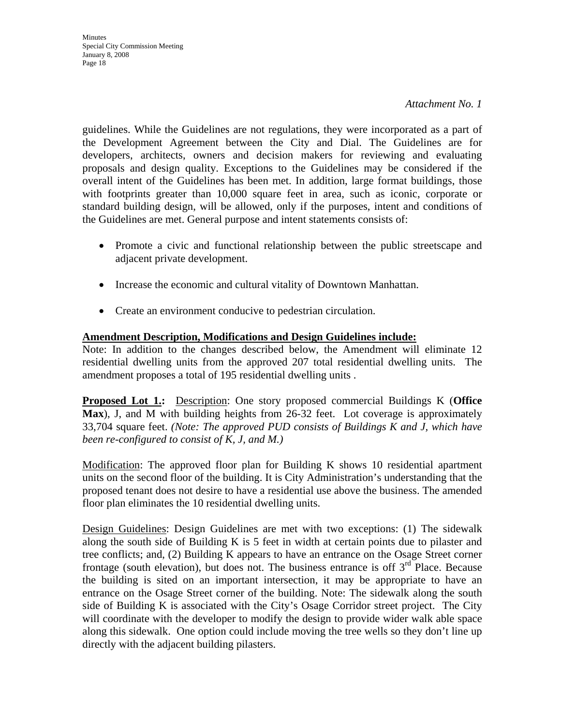guidelines. While the Guidelines are not regulations, they were incorporated as a part of the Development Agreement between the City and Dial. The Guidelines are for developers, architects, owners and decision makers for reviewing and evaluating proposals and design quality. Exceptions to the Guidelines may be considered if the overall intent of the Guidelines has been met. In addition, large format buildings, those with footprints greater than 10,000 square feet in area, such as iconic, corporate or standard building design, will be allowed, only if the purposes, intent and conditions of the Guidelines are met. General purpose and intent statements consists of:

- Promote a civic and functional relationship between the public streetscape and adjacent private development.
- Increase the economic and cultural vitality of Downtown Manhattan.
- Create an environment conducive to pedestrian circulation.

## **Amendment Description, Modifications and Design Guidelines include:**

Note: In addition to the changes described below, the Amendment will eliminate 12 residential dwelling units from the approved 207 total residential dwelling units. The amendment proposes a total of 195 residential dwelling units .

**Proposed Lot 1.:** Description: One story proposed commercial Buildings K (**Office Max**), J, and M with building heights from 26-32 feet. Lot coverage is approximately 33,704 square feet. *(Note: The approved PUD consists of Buildings K and J, which have been re-configured to consist of K, J, and M.)* 

Modification: The approved floor plan for Building K shows 10 residential apartment units on the second floor of the building. It is City Administration's understanding that the proposed tenant does not desire to have a residential use above the business. The amended floor plan eliminates the 10 residential dwelling units.

Design Guidelines: Design Guidelines are met with two exceptions: (1) The sidewalk along the south side of Building K is 5 feet in width at certain points due to pilaster and tree conflicts; and, (2) Building K appears to have an entrance on the Osage Street corner frontage (south elevation), but does not. The business entrance is off  $3<sup>rd</sup>$  Place. Because the building is sited on an important intersection, it may be appropriate to have an entrance on the Osage Street corner of the building. Note: The sidewalk along the south side of Building K is associated with the City's Osage Corridor street project. The City will coordinate with the developer to modify the design to provide wider walk able space along this sidewalk. One option could include moving the tree wells so they don't line up directly with the adjacent building pilasters.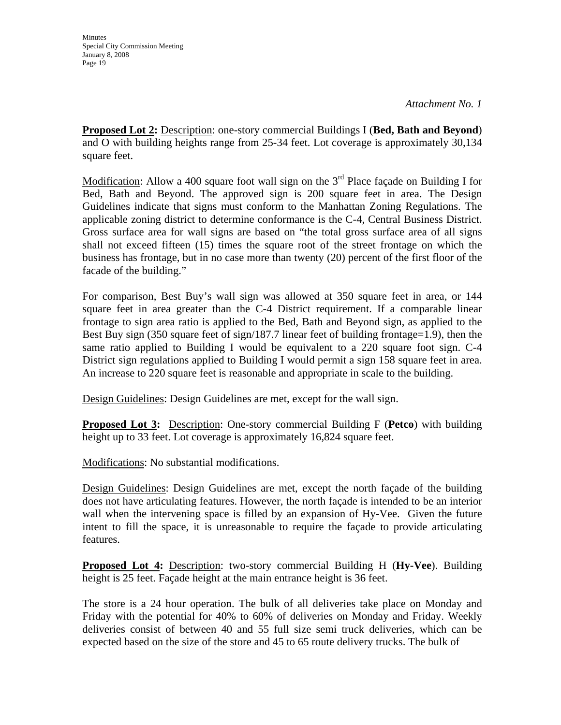**Proposed Lot 2:** Description: one-story commercial Buildings I (**Bed, Bath and Beyond**) and O with building heights range from 25-34 feet. Lot coverage is approximately 30,134 square feet.

Modification: Allow a 400 square foot wall sign on the  $3<sup>rd</sup>$  Place facade on Building I for Bed, Bath and Beyond. The approved sign is 200 square feet in area. The Design Guidelines indicate that signs must conform to the Manhattan Zoning Regulations. The applicable zoning district to determine conformance is the C-4, Central Business District. Gross surface area for wall signs are based on "the total gross surface area of all signs shall not exceed fifteen (15) times the square root of the street frontage on which the business has frontage, but in no case more than twenty (20) percent of the first floor of the facade of the building."

For comparison, Best Buy's wall sign was allowed at 350 square feet in area, or 144 square feet in area greater than the C-4 District requirement. If a comparable linear frontage to sign area ratio is applied to the Bed, Bath and Beyond sign, as applied to the Best Buy sign (350 square feet of sign/187.7 linear feet of building frontage=1.9), then the same ratio applied to Building I would be equivalent to a 220 square foot sign. C-4 District sign regulations applied to Building I would permit a sign 158 square feet in area. An increase to 220 square feet is reasonable and appropriate in scale to the building.

Design Guidelines: Design Guidelines are met, except for the wall sign.

**Proposed Lot 3:** Description: One-story commercial Building F (**Petco**) with building height up to 33 feet. Lot coverage is approximately 16,824 square feet.

Modifications: No substantial modifications.

Design Guidelines: Design Guidelines are met, except the north façade of the building does not have articulating features. However, the north façade is intended to be an interior wall when the intervening space is filled by an expansion of Hy-Vee. Given the future intent to fill the space, it is unreasonable to require the façade to provide articulating features.

**Proposed Lot 4:** Description: two-story commercial Building H (**Hy-Vee**). Building height is 25 feet. Façade height at the main entrance height is 36 feet.

The store is a 24 hour operation. The bulk of all deliveries take place on Monday and Friday with the potential for 40% to 60% of deliveries on Monday and Friday. Weekly deliveries consist of between 40 and 55 full size semi truck deliveries, which can be expected based on the size of the store and 45 to 65 route delivery trucks. The bulk of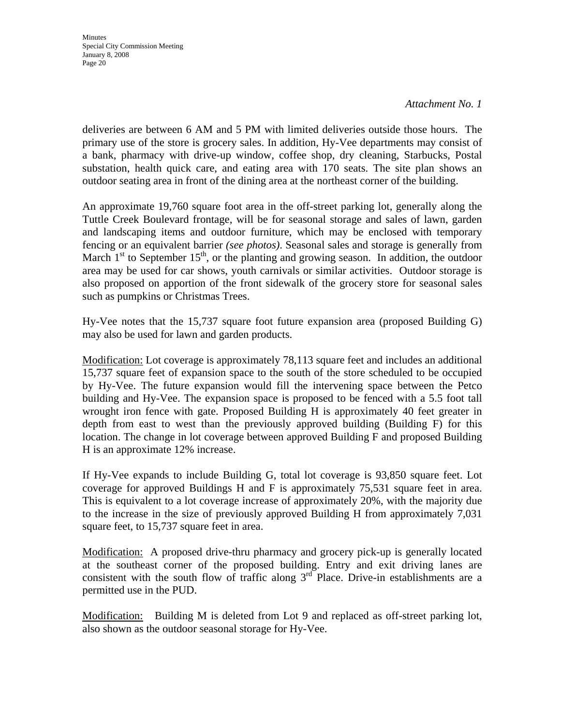*Attachment No. 1*

deliveries are between 6 AM and 5 PM with limited deliveries outside those hours. The primary use of the store is grocery sales. In addition, Hy-Vee departments may consist of a bank, pharmacy with drive-up window, coffee shop, dry cleaning, Starbucks, Postal substation, health quick care, and eating area with 170 seats. The site plan shows an outdoor seating area in front of the dining area at the northeast corner of the building.

An approximate 19,760 square foot area in the off-street parking lot, generally along the Tuttle Creek Boulevard frontage, will be for seasonal storage and sales of lawn, garden and landscaping items and outdoor furniture, which may be enclosed with temporary fencing or an equivalent barrier *(see photos)*. Seasonal sales and storage is generally from March  $1<sup>st</sup>$  to September  $15<sup>th</sup>$ , or the planting and growing season. In addition, the outdoor area may be used for car shows, youth carnivals or similar activities. Outdoor storage is also proposed on apportion of the front sidewalk of the grocery store for seasonal sales such as pumpkins or Christmas Trees.

Hy-Vee notes that the 15,737 square foot future expansion area (proposed Building G) may also be used for lawn and garden products.

Modification: Lot coverage is approximately 78,113 square feet and includes an additional 15,737 square feet of expansion space to the south of the store scheduled to be occupied by Hy-Vee. The future expansion would fill the intervening space between the Petco building and Hy-Vee. The expansion space is proposed to be fenced with a 5.5 foot tall wrought iron fence with gate. Proposed Building H is approximately 40 feet greater in depth from east to west than the previously approved building (Building F) for this location. The change in lot coverage between approved Building F and proposed Building H is an approximate 12% increase.

If Hy-Vee expands to include Building G, total lot coverage is 93,850 square feet. Lot coverage for approved Buildings H and F is approximately 75,531 square feet in area. This is equivalent to a lot coverage increase of approximately 20%, with the majority due to the increase in the size of previously approved Building H from approximately 7,031 square feet, to 15,737 square feet in area.

Modification: A proposed drive-thru pharmacy and grocery pick-up is generally located at the southeast corner of the proposed building. Entry and exit driving lanes are consistent with the south flow of traffic along  $3<sup>rd</sup>$  Place. Drive-in establishments are a permitted use in the PUD.

Modification: Building M is deleted from Lot 9 and replaced as off-street parking lot, also shown as the outdoor seasonal storage for Hy-Vee.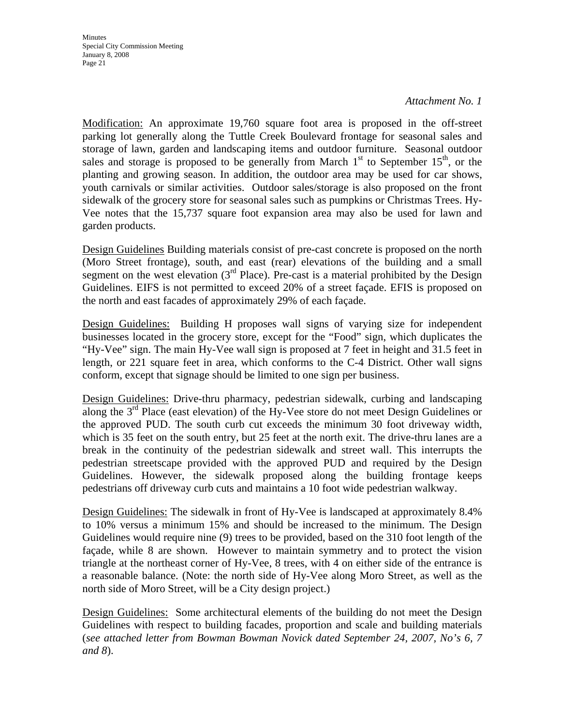### *Attachment No. 1*

Modification: An approximate 19,760 square foot area is proposed in the off-street parking lot generally along the Tuttle Creek Boulevard frontage for seasonal sales and storage of lawn, garden and landscaping items and outdoor furniture. Seasonal outdoor sales and storage is proposed to be generally from March  $1<sup>st</sup>$  to September  $15<sup>th</sup>$ , or the planting and growing season. In addition, the outdoor area may be used for car shows, youth carnivals or similar activities. Outdoor sales/storage is also proposed on the front sidewalk of the grocery store for seasonal sales such as pumpkins or Christmas Trees. Hy-Vee notes that the 15,737 square foot expansion area may also be used for lawn and garden products.

Design Guidelines Building materials consist of pre-cast concrete is proposed on the north (Moro Street frontage), south, and east (rear) elevations of the building and a small segment on the west elevation  $3<sup>rd</sup>$  Place). Pre-cast is a material prohibited by the Design Guidelines. EIFS is not permitted to exceed 20% of a street façade. EFIS is proposed on the north and east facades of approximately 29% of each façade.

Design Guidelines: Building H proposes wall signs of varying size for independent businesses located in the grocery store, except for the "Food" sign, which duplicates the "Hy-Vee" sign. The main Hy-Vee wall sign is proposed at 7 feet in height and 31.5 feet in length, or 221 square feet in area, which conforms to the C-4 District. Other wall signs conform, except that signage should be limited to one sign per business.

Design Guidelines: Drive-thru pharmacy, pedestrian sidewalk, curbing and landscaping along the 3<sup>rd</sup> Place (east elevation) of the Hy-Vee store do not meet Design Guidelines or the approved PUD. The south curb cut exceeds the minimum 30 foot driveway width, which is 35 feet on the south entry, but 25 feet at the north exit. The drive-thru lanes are a break in the continuity of the pedestrian sidewalk and street wall. This interrupts the pedestrian streetscape provided with the approved PUD and required by the Design Guidelines. However, the sidewalk proposed along the building frontage keeps pedestrians off driveway curb cuts and maintains a 10 foot wide pedestrian walkway.

Design Guidelines: The sidewalk in front of Hy-Vee is landscaped at approximately 8.4% to 10% versus a minimum 15% and should be increased to the minimum. The Design Guidelines would require nine (9) trees to be provided, based on the 310 foot length of the façade, while 8 are shown. However to maintain symmetry and to protect the vision triangle at the northeast corner of Hy-Vee, 8 trees, with 4 on either side of the entrance is a reasonable balance. (Note: the north side of Hy-Vee along Moro Street, as well as the north side of Moro Street, will be a City design project.)

Design Guidelines: Some architectural elements of the building do not meet the Design Guidelines with respect to building facades, proportion and scale and building materials (*see attached letter from Bowman Bowman Novick dated September 24, 2007, No's 6, 7 and 8*).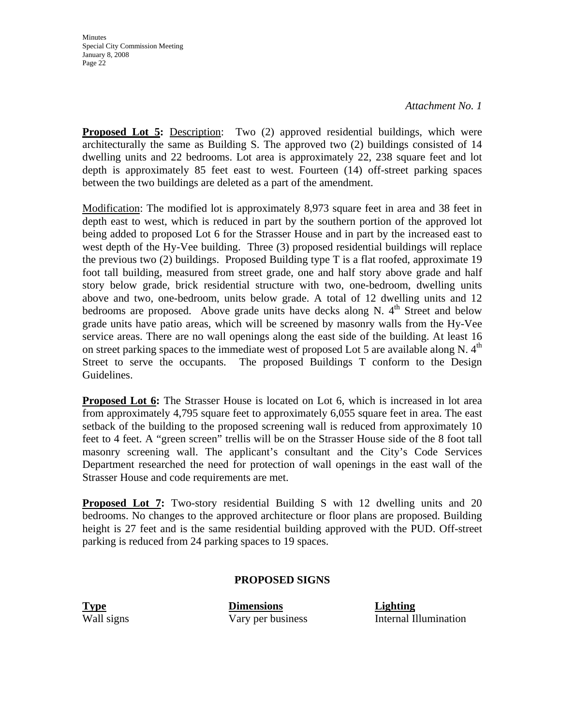*Attachment No. 1*

**Proposed Lot 5:** Description: Two (2) approved residential buildings, which were architecturally the same as Building S. The approved two (2) buildings consisted of 14 dwelling units and 22 bedrooms. Lot area is approximately 22, 238 square feet and lot depth is approximately 85 feet east to west. Fourteen (14) off-street parking spaces between the two buildings are deleted as a part of the amendment.

Modification: The modified lot is approximately 8,973 square feet in area and 38 feet in depth east to west, which is reduced in part by the southern portion of the approved lot being added to proposed Lot 6 for the Strasser House and in part by the increased east to west depth of the Hy-Vee building. Three (3) proposed residential buildings will replace the previous two (2) buildings. Proposed Building type T is a flat roofed, approximate 19 foot tall building, measured from street grade, one and half story above grade and half story below grade, brick residential structure with two, one-bedroom, dwelling units above and two, one-bedroom, units below grade. A total of 12 dwelling units and 12 bedrooms are proposed. Above grade units have decks along N.  $4<sup>th</sup>$  Street and below grade units have patio areas, which will be screened by masonry walls from the Hy-Vee service areas. There are no wall openings along the east side of the building. At least 16 on street parking spaces to the immediate west of proposed Lot 5 are available along N.  $4<sup>th</sup>$ Street to serve the occupants. The proposed Buildings T conform to the Design Guidelines.

**Proposed Lot 6:** The Strasser House is located on Lot 6, which is increased in lot area from approximately 4,795 square feet to approximately 6,055 square feet in area. The east setback of the building to the proposed screening wall is reduced from approximately 10 feet to 4 feet. A "green screen" trellis will be on the Strasser House side of the 8 foot tall masonry screening wall. The applicant's consultant and the City's Code Services Department researched the need for protection of wall openings in the east wall of the Strasser House and code requirements are met.

**Proposed Lot 7:** Two-story residential Building S with 12 dwelling units and 20 bedrooms. No changes to the approved architecture or floor plans are proposed. Building height is 27 feet and is the same residential building approved with the PUD. Off-street parking is reduced from 24 parking spaces to 19 spaces.

### **PROPOSED SIGNS**

**Type Dimensions Lighting**

Wall signs Vary per business Internal Illumination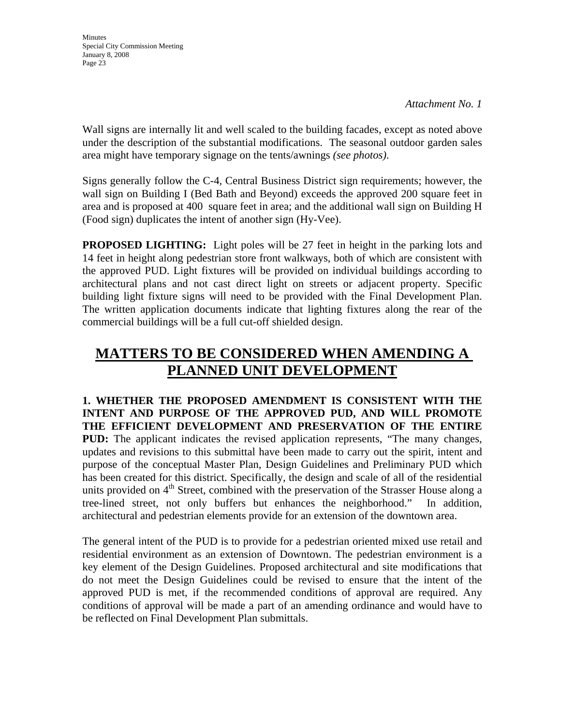Wall signs are internally lit and well scaled to the building facades, except as noted above under the description of the substantial modifications. The seasonal outdoor garden sales area might have temporary signage on the tents/awnings *(see photos)*.

Signs generally follow the C-4, Central Business District sign requirements; however, the wall sign on Building I (Bed Bath and Beyond) exceeds the approved 200 square feet in area and is proposed at 400 square feet in area; and the additional wall sign on Building H (Food sign) duplicates the intent of another sign (Hy-Vee).

**PROPOSED LIGHTING:** Light poles will be 27 feet in height in the parking lots and 14 feet in height along pedestrian store front walkways, both of which are consistent with the approved PUD. Light fixtures will be provided on individual buildings according to architectural plans and not cast direct light on streets or adjacent property. Specific building light fixture signs will need to be provided with the Final Development Plan. The written application documents indicate that lighting fixtures along the rear of the commercial buildings will be a full cut-off shielded design.

# **MATTERS TO BE CONSIDERED WHEN AMENDING A PLANNED UNIT DEVELOPMENT**

**1. WHETHER THE PROPOSED AMENDMENT IS CONSISTENT WITH THE INTENT AND PURPOSE OF THE APPROVED PUD, AND WILL PROMOTE THE EFFICIENT DEVELOPMENT AND PRESERVATION OF THE ENTIRE PUD:** The applicant indicates the revised application represents, "The many changes, updates and revisions to this submittal have been made to carry out the spirit, intent and purpose of the conceptual Master Plan, Design Guidelines and Preliminary PUD which has been created for this district. Specifically, the design and scale of all of the residential units provided on  $4<sup>th</sup>$  Street, combined with the preservation of the Strasser House along a tree-lined street, not only buffers but enhances the neighborhood." In addition, architectural and pedestrian elements provide for an extension of the downtown area.

The general intent of the PUD is to provide for a pedestrian oriented mixed use retail and residential environment as an extension of Downtown. The pedestrian environment is a key element of the Design Guidelines. Proposed architectural and site modifications that do not meet the Design Guidelines could be revised to ensure that the intent of the approved PUD is met, if the recommended conditions of approval are required. Any conditions of approval will be made a part of an amending ordinance and would have to be reflected on Final Development Plan submittals.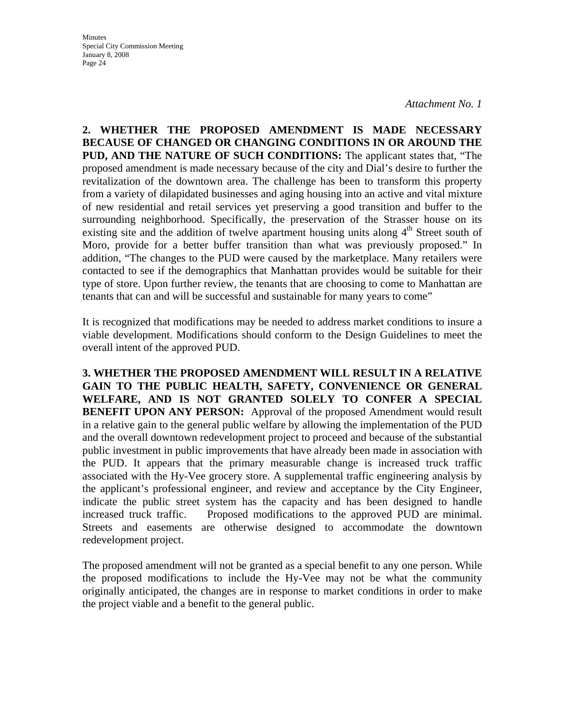*Attachment No. 1*

**2. WHETHER THE PROPOSED AMENDMENT IS MADE NECESSARY BECAUSE OF CHANGED OR CHANGING CONDITIONS IN OR AROUND THE PUD, AND THE NATURE OF SUCH CONDITIONS:** The applicant states that, "The proposed amendment is made necessary because of the city and Dial's desire to further the revitalization of the downtown area. The challenge has been to transform this property from a variety of dilapidated businesses and aging housing into an active and vital mixture of new residential and retail services yet preserving a good transition and buffer to the surrounding neighborhood. Specifically, the preservation of the Strasser house on its existing site and the addition of twelve apartment housing units along 4<sup>th</sup> Street south of Moro, provide for a better buffer transition than what was previously proposed." In addition, "The changes to the PUD were caused by the marketplace. Many retailers were contacted to see if the demographics that Manhattan provides would be suitable for their type of store. Upon further review, the tenants that are choosing to come to Manhattan are tenants that can and will be successful and sustainable for many years to come"

It is recognized that modifications may be needed to address market conditions to insure a viable development. Modifications should conform to the Design Guidelines to meet the overall intent of the approved PUD.

**3. WHETHER THE PROPOSED AMENDMENT WILL RESULT IN A RELATIVE GAIN TO THE PUBLIC HEALTH, SAFETY, CONVENIENCE OR GENERAL WELFARE, AND IS NOT GRANTED SOLELY TO CONFER A SPECIAL BENEFIT UPON ANY PERSON:** Approval of the proposed Amendment would result in a relative gain to the general public welfare by allowing the implementation of the PUD and the overall downtown redevelopment project to proceed and because of the substantial public investment in public improvements that have already been made in association with the PUD. It appears that the primary measurable change is increased truck traffic associated with the Hy-Vee grocery store. A supplemental traffic engineering analysis by the applicant's professional engineer, and review and acceptance by the City Engineer, indicate the public street system has the capacity and has been designed to handle increased truck traffic. Proposed modifications to the approved PUD are minimal. Streets and easements are otherwise designed to accommodate the downtown redevelopment project.

The proposed amendment will not be granted as a special benefit to any one person. While the proposed modifications to include the Hy-Vee may not be what the community originally anticipated, the changes are in response to market conditions in order to make the project viable and a benefit to the general public.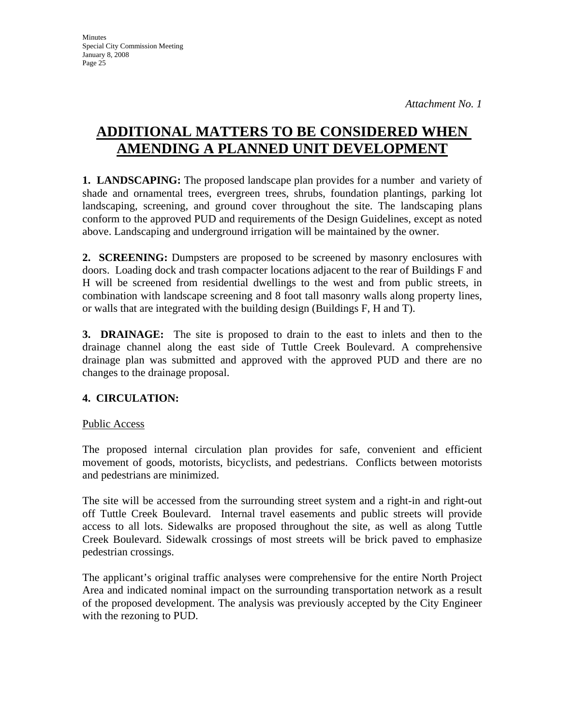# **ADDITIONAL MATTERS TO BE CONSIDERED WHEN AMENDING A PLANNED UNIT DEVELOPMENT**

**1. LANDSCAPING:** The proposed landscape plan provides for a number and variety of shade and ornamental trees, evergreen trees, shrubs, foundation plantings, parking lot landscaping, screening, and ground cover throughout the site. The landscaping plans conform to the approved PUD and requirements of the Design Guidelines, except as noted above. Landscaping and underground irrigation will be maintained by the owner.

**2. SCREENING:** Dumpsters are proposed to be screened by masonry enclosures with doors. Loading dock and trash compacter locations adjacent to the rear of Buildings F and H will be screened from residential dwellings to the west and from public streets, in combination with landscape screening and 8 foot tall masonry walls along property lines, or walls that are integrated with the building design (Buildings F, H and T).

**3. DRAINAGE:** The site is proposed to drain to the east to inlets and then to the drainage channel along the east side of Tuttle Creek Boulevard. A comprehensive drainage plan was submitted and approved with the approved PUD and there are no changes to the drainage proposal.

## **4. CIRCULATION:**

## Public Access

The proposed internal circulation plan provides for safe, convenient and efficient movement of goods, motorists, bicyclists, and pedestrians. Conflicts between motorists and pedestrians are minimized.

The site will be accessed from the surrounding street system and a right-in and right-out off Tuttle Creek Boulevard. Internal travel easements and public streets will provide access to all lots. Sidewalks are proposed throughout the site, as well as along Tuttle Creek Boulevard. Sidewalk crossings of most streets will be brick paved to emphasize pedestrian crossings.

The applicant's original traffic analyses were comprehensive for the entire North Project Area and indicated nominal impact on the surrounding transportation network as a result of the proposed development. The analysis was previously accepted by the City Engineer with the rezoning to PUD.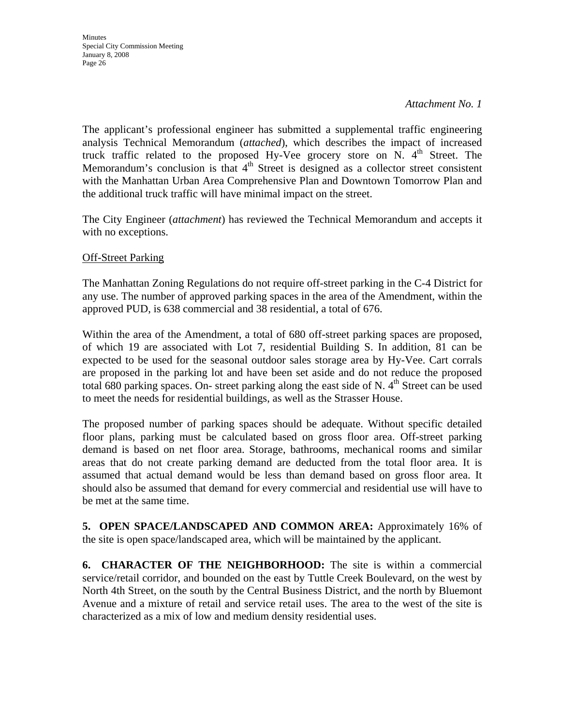The applicant's professional engineer has submitted a supplemental traffic engineering analysis Technical Memorandum (*attached*), which describes the impact of increased truck traffic related to the proposed Hy-Vee grocery store on N.  $4<sup>th</sup>$  Street. The Memorandum's conclusion is that  $4<sup>th</sup>$  Street is designed as a collector street consistent with the Manhattan Urban Area Comprehensive Plan and Downtown Tomorrow Plan and the additional truck traffic will have minimal impact on the street.

The City Engineer (*attachment*) has reviewed the Technical Memorandum and accepts it with no exceptions.

### **Off-Street Parking**

The Manhattan Zoning Regulations do not require off-street parking in the C-4 District for any use. The number of approved parking spaces in the area of the Amendment, within the approved PUD, is 638 commercial and 38 residential, a total of 676.

Within the area of the Amendment, a total of 680 off-street parking spaces are proposed, of which 19 are associated with Lot 7, residential Building S. In addition, 81 can be expected to be used for the seasonal outdoor sales storage area by Hy-Vee. Cart corrals are proposed in the parking lot and have been set aside and do not reduce the proposed total 680 parking spaces. On- street parking along the east side of N.  $4<sup>th</sup>$  Street can be used to meet the needs for residential buildings, as well as the Strasser House.

The proposed number of parking spaces should be adequate. Without specific detailed floor plans, parking must be calculated based on gross floor area. Off-street parking demand is based on net floor area. Storage, bathrooms, mechanical rooms and similar areas that do not create parking demand are deducted from the total floor area. It is assumed that actual demand would be less than demand based on gross floor area. It should also be assumed that demand for every commercial and residential use will have to be met at the same time.

**5. OPEN SPACE/LANDSCAPED AND COMMON AREA:** Approximately 16% of the site is open space/landscaped area, which will be maintained by the applicant.

**6. CHARACTER OF THE NEIGHBORHOOD:** The site is within a commercial service/retail corridor, and bounded on the east by Tuttle Creek Boulevard, on the west by North 4th Street, on the south by the Central Business District, and the north by Bluemont Avenue and a mixture of retail and service retail uses. The area to the west of the site is characterized as a mix of low and medium density residential uses.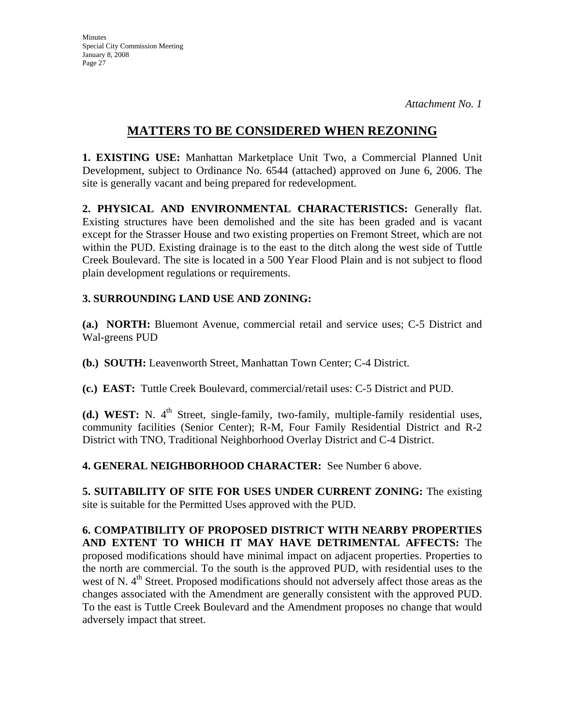## **MATTERS TO BE CONSIDERED WHEN REZONING**

**1. EXISTING USE:** Manhattan Marketplace Unit Two, a Commercial Planned Unit Development, subject to Ordinance No. 6544 (attached) approved on June 6, 2006. The site is generally vacant and being prepared for redevelopment.

**2. PHYSICAL AND ENVIRONMENTAL CHARACTERISTICS:** Generally flat. Existing structures have been demolished and the site has been graded and is vacant except for the Strasser House and two existing properties on Fremont Street, which are not within the PUD. Existing drainage is to the east to the ditch along the west side of Tuttle Creek Boulevard. The site is located in a 500 Year Flood Plain and is not subject to flood plain development regulations or requirements.

### **3. SURROUNDING LAND USE AND ZONING:**

**(a.) NORTH:** Bluemont Avenue, commercial retail and service uses; C-5 District and Wal-greens PUD

**(b.) SOUTH:** Leavenworth Street, Manhattan Town Center; C-4 District.

**(c.) EAST:** Tuttle Creek Boulevard, commercial/retail uses: C-5 District and PUD.

**(d.) WEST:** N. 4<sup>th</sup> Street, single-family, two-family, multiple-family residential uses, community facilities (Senior Center); R-M, Four Family Residential District and R-2 District with TNO, Traditional Neighborhood Overlay District and C-4 District.

**4. GENERAL NEIGHBORHOOD CHARACTER:** See Number 6 above.

**5. SUITABILITY OF SITE FOR USES UNDER CURRENT ZONING:** The existing site is suitable for the Permitted Uses approved with the PUD.

**6. COMPATIBILITY OF PROPOSED DISTRICT WITH NEARBY PROPERTIES AND EXTENT TO WHICH IT MAY HAVE DETRIMENTAL AFFECTS:** The proposed modifications should have minimal impact on adjacent properties. Properties to the north are commercial. To the south is the approved PUD, with residential uses to the west of N. 4<sup>th</sup> Street. Proposed modifications should not adversely affect those areas as the changes associated with the Amendment are generally consistent with the approved PUD. To the east is Tuttle Creek Boulevard and the Amendment proposes no change that would adversely impact that street.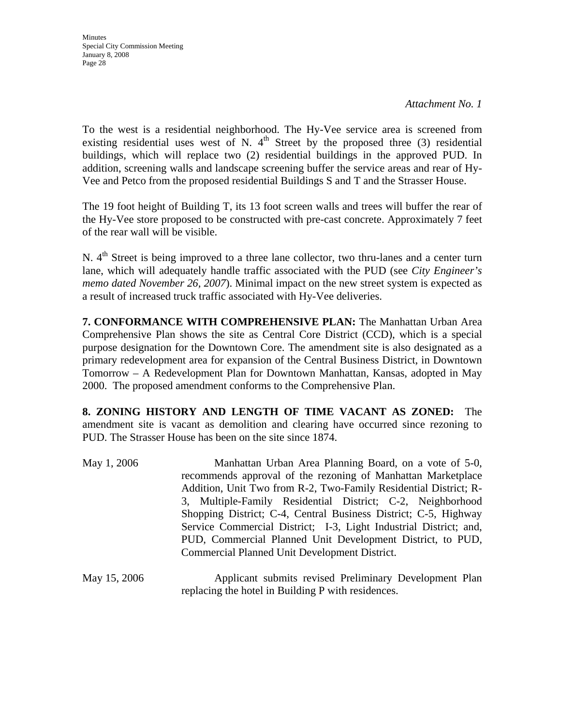*Attachment No. 1*

To the west is a residential neighborhood. The Hy-Vee service area is screened from existing residential uses west of N.  $4<sup>th</sup>$  Street by the proposed three (3) residential buildings, which will replace two (2) residential buildings in the approved PUD. In addition, screening walls and landscape screening buffer the service areas and rear of Hy-Vee and Petco from the proposed residential Buildings S and T and the Strasser House.

The 19 foot height of Building T, its 13 foot screen walls and trees will buffer the rear of the Hy-Vee store proposed to be constructed with pre-cast concrete. Approximately 7 feet of the rear wall will be visible.

N. 4<sup>th</sup> Street is being improved to a three lane collector, two thru-lanes and a center turn lane, which will adequately handle traffic associated with the PUD (see *City Engineer's memo dated November 26, 2007*). Minimal impact on the new street system is expected as a result of increased truck traffic associated with Hy-Vee deliveries.

**7. CONFORMANCE WITH COMPREHENSIVE PLAN:** The Manhattan Urban Area Comprehensive Plan shows the site as Central Core District (CCD), which is a special purpose designation for the Downtown Core. The amendment site is also designated as a primary redevelopment area for expansion of the Central Business District, in Downtown Tomorrow – A Redevelopment Plan for Downtown Manhattan, Kansas, adopted in May 2000. The proposed amendment conforms to the Comprehensive Plan.

**8. ZONING HISTORY AND LENGTH OF TIME VACANT AS ZONED:** The amendment site is vacant as demolition and clearing have occurred since rezoning to PUD. The Strasser House has been on the site since 1874.

| May 1, 2006  | Manhattan Urban Area Planning Board, on a vote of 5-0,<br>recommends approval of the rezoning of Manhattan Marketplace<br>Addition, Unit Two from R-2, Two-Family Residential District; R-<br>3, Multiple-Family Residential District; C-2, Neighborhood<br>Shopping District; C-4, Central Business District; C-5, Highway<br>Service Commercial District; I-3, Light Industrial District; and,<br>PUD, Commercial Planned Unit Development District, to PUD,<br>Commercial Planned Unit Development District. |
|--------------|-----------------------------------------------------------------------------------------------------------------------------------------------------------------------------------------------------------------------------------------------------------------------------------------------------------------------------------------------------------------------------------------------------------------------------------------------------------------------------------------------------------------|
| May 15, 2006 | Applicant submits revised Preliminary Development Plan                                                                                                                                                                                                                                                                                                                                                                                                                                                          |

replacing the hotel in Building P with residences.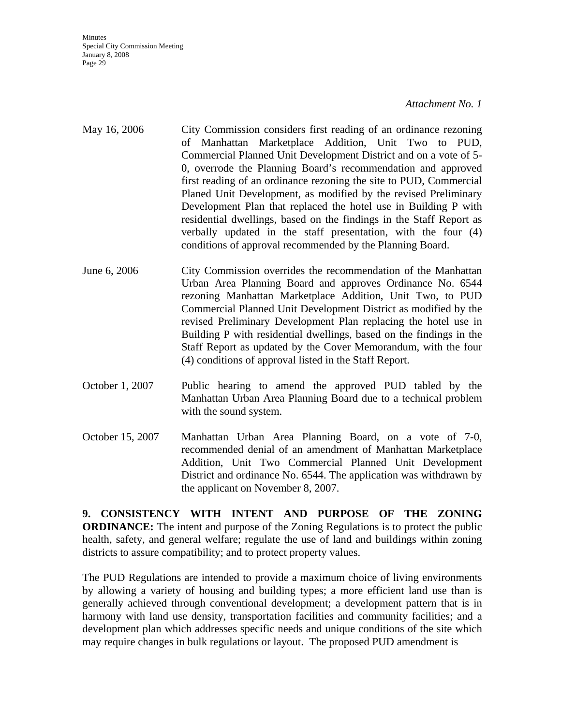#### *Attachment No. 1*

- May 16, 2006 City Commission considers first reading of an ordinance rezoning of Manhattan Marketplace Addition, Unit Two to PUD, Commercial Planned Unit Development District and on a vote of 5- 0, overrode the Planning Board's recommendation and approved first reading of an ordinance rezoning the site to PUD, Commercial Planed Unit Development, as modified by the revised Preliminary Development Plan that replaced the hotel use in Building P with residential dwellings, based on the findings in the Staff Report as verbally updated in the staff presentation, with the four (4) conditions of approval recommended by the Planning Board.
- June 6, 2006 City Commission overrides the recommendation of the Manhattan Urban Area Planning Board and approves Ordinance No. 6544 rezoning Manhattan Marketplace Addition, Unit Two, to PUD Commercial Planned Unit Development District as modified by the revised Preliminary Development Plan replacing the hotel use in Building P with residential dwellings, based on the findings in the Staff Report as updated by the Cover Memorandum, with the four (4) conditions of approval listed in the Staff Report.
- October 1, 2007 Public hearing to amend the approved PUD tabled by the Manhattan Urban Area Planning Board due to a technical problem with the sound system.
- October 15, 2007 Manhattan Urban Area Planning Board, on a vote of 7-0, recommended denial of an amendment of Manhattan Marketplace Addition, Unit Two Commercial Planned Unit Development District and ordinance No. 6544. The application was withdrawn by the applicant on November 8, 2007.

**9. CONSISTENCY WITH INTENT AND PURPOSE OF THE ZONING ORDINANCE:** The intent and purpose of the Zoning Regulations is to protect the public health, safety, and general welfare; regulate the use of land and buildings within zoning districts to assure compatibility; and to protect property values.

The PUD Regulations are intended to provide a maximum choice of living environments by allowing a variety of housing and building types; a more efficient land use than is generally achieved through conventional development; a development pattern that is in harmony with land use density, transportation facilities and community facilities; and a development plan which addresses specific needs and unique conditions of the site which may require changes in bulk regulations or layout. The proposed PUD amendment is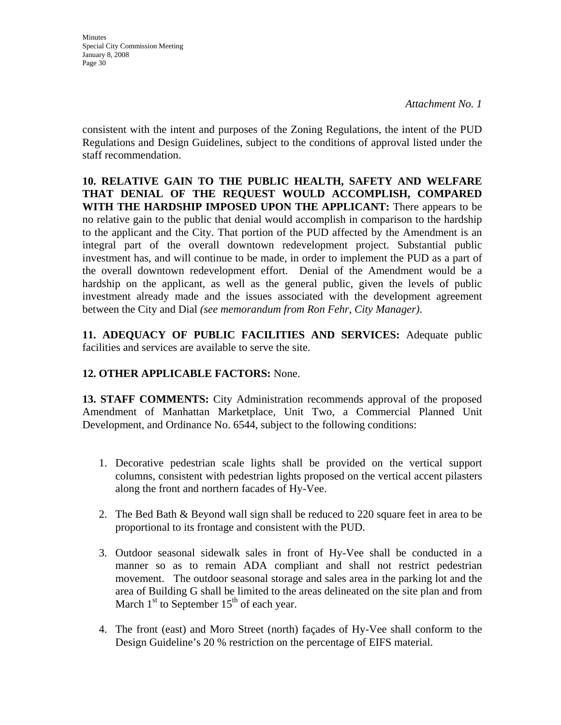**Minutes** Special City Commission Meeting January 8, 2008 Page 30

consistent with the intent and purposes of the Zoning Regulations, the intent of the PUD Regulations and Design Guidelines, subject to the conditions of approval listed under the staff recommendation.

**10. RELATIVE GAIN TO THE PUBLIC HEALTH, SAFETY AND WELFARE THAT DENIAL OF THE REQUEST WOULD ACCOMPLISH, COMPARED WITH THE HARDSHIP IMPOSED UPON THE APPLICANT:** There appears to be no relative gain to the public that denial would accomplish in comparison to the hardship to the applicant and the City. That portion of the PUD affected by the Amendment is an integral part of the overall downtown redevelopment project. Substantial public investment has, and will continue to be made, in order to implement the PUD as a part of the overall downtown redevelopment effort. Denial of the Amendment would be a hardship on the applicant, as well as the general public, given the levels of public investment already made and the issues associated with the development agreement between the City and Dial *(see memorandum from Ron Fehr, City Manager)*.

**11. ADEQUACY OF PUBLIC FACILITIES AND SERVICES:** Adequate public facilities and services are available to serve the site.

## **12. OTHER APPLICABLE FACTORS:** None.

**13. STAFF COMMENTS:** City Administration recommends approval of the proposed Amendment of Manhattan Marketplace, Unit Two, a Commercial Planned Unit Development, and Ordinance No. 6544, subject to the following conditions:

- 1. Decorative pedestrian scale lights shall be provided on the vertical support columns, consistent with pedestrian lights proposed on the vertical accent pilasters along the front and northern facades of Hy-Vee.
- 2. The Bed Bath & Beyond wall sign shall be reduced to 220 square feet in area to be proportional to its frontage and consistent with the PUD.
- 3. Outdoor seasonal sidewalk sales in front of Hy-Vee shall be conducted in a manner so as to remain ADA compliant and shall not restrict pedestrian movement. The outdoor seasonal storage and sales area in the parking lot and the area of Building G shall be limited to the areas delineated on the site plan and from March  $1<sup>st</sup>$  to September  $15<sup>th</sup>$  of each year.
- 4. The front (east) and Moro Street (north) façades of Hy-Vee shall conform to the Design Guideline's 20 % restriction on the percentage of EIFS material.